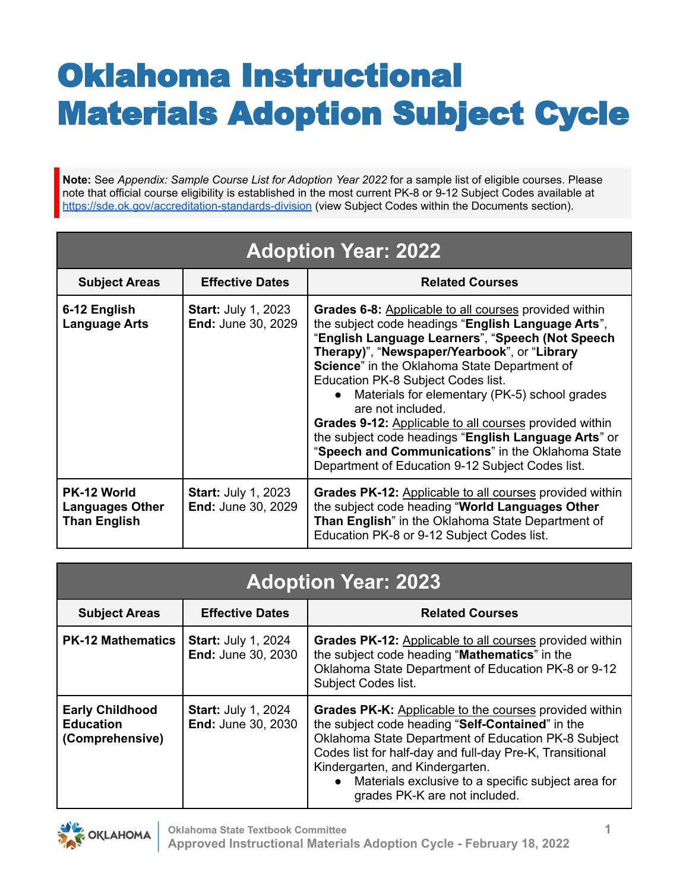## Oklahoma Instructional Materials Adoption Subject Cycle

**Note:** See *Appendix: Sample Course List for Adoption Year 2022* for a sample list of eligible courses. Please note that official course eligibility is established in the most current PK-8 or 9-12 Subject Codes available at <https://sde.ok.gov/accreditation-standards-division> (view Subject Codes within the Documents section).

| <b>Adoption Year: 2022</b>                                   |                                                         |                                                                                                                                                                                                                                                                                                                                                                                                                                                                                                                                                                                                               |  |
|--------------------------------------------------------------|---------------------------------------------------------|---------------------------------------------------------------------------------------------------------------------------------------------------------------------------------------------------------------------------------------------------------------------------------------------------------------------------------------------------------------------------------------------------------------------------------------------------------------------------------------------------------------------------------------------------------------------------------------------------------------|--|
| <b>Subject Areas</b>                                         | <b>Effective Dates</b>                                  | <b>Related Courses</b>                                                                                                                                                                                                                                                                                                                                                                                                                                                                                                                                                                                        |  |
| 6-12 English<br><b>Language Arts</b>                         | <b>Start: July 1, 2023</b><br><b>End: June 30, 2029</b> | Grades 6-8: Applicable to all courses provided within<br>the subject code headings "English Language Arts",<br>"English Language Learners", "Speech (Not Speech<br>Therapy)", "Newspaper/Yearbook", or "Library<br>Science" in the Oklahoma State Department of<br>Education PK-8 Subject Codes list.<br>Materials for elementary (PK-5) school grades<br>are not included.<br><b>Grades 9-12:</b> Applicable to all courses provided within<br>the subject code headings "English Language Arts" or<br>"Speech and Communications" in the Oklahoma State<br>Department of Education 9-12 Subject Codes list. |  |
| PK-12 World<br><b>Languages Other</b><br><b>Than English</b> | <b>Start: July 1, 2023</b><br><b>End: June 30, 2029</b> | <b>Grades PK-12:</b> Applicable to all courses provided within<br>the subject code heading "World Languages Other<br>Than English" in the Oklahoma State Department of<br>Education PK-8 or 9-12 Subject Codes list.                                                                                                                                                                                                                                                                                                                                                                                          |  |

| <b>Adoption Year: 2023</b>                                    |                                                         |                                                                                                                                                                                                                                                                                                                                                                             |  |
|---------------------------------------------------------------|---------------------------------------------------------|-----------------------------------------------------------------------------------------------------------------------------------------------------------------------------------------------------------------------------------------------------------------------------------------------------------------------------------------------------------------------------|--|
| <b>Subject Areas</b>                                          | <b>Effective Dates</b>                                  | <b>Related Courses</b>                                                                                                                                                                                                                                                                                                                                                      |  |
| <b>PK-12 Mathematics</b>                                      | <b>Start: July 1, 2024</b><br><b>End: June 30, 2030</b> | <b>Grades PK-12:</b> Applicable to all courses provided within<br>the subject code heading "Mathematics" in the<br>Oklahoma State Department of Education PK-8 or 9-12<br><b>Subject Codes list.</b>                                                                                                                                                                        |  |
| <b>Early Childhood</b><br><b>Education</b><br>(Comprehensive) | <b>Start: July 1, 2024</b><br><b>End: June 30, 2030</b> | <b>Grades PK-K:</b> Applicable to the courses provided within<br>the subject code heading "Self-Contained" in the<br>Oklahoma State Department of Education PK-8 Subject<br>Codes list for half-day and full-day Pre-K, Transitional<br>Kindergarten, and Kindergarten.<br>Materials exclusive to a specific subject area for<br>$\bullet$<br>grades PK-K are not included. |  |

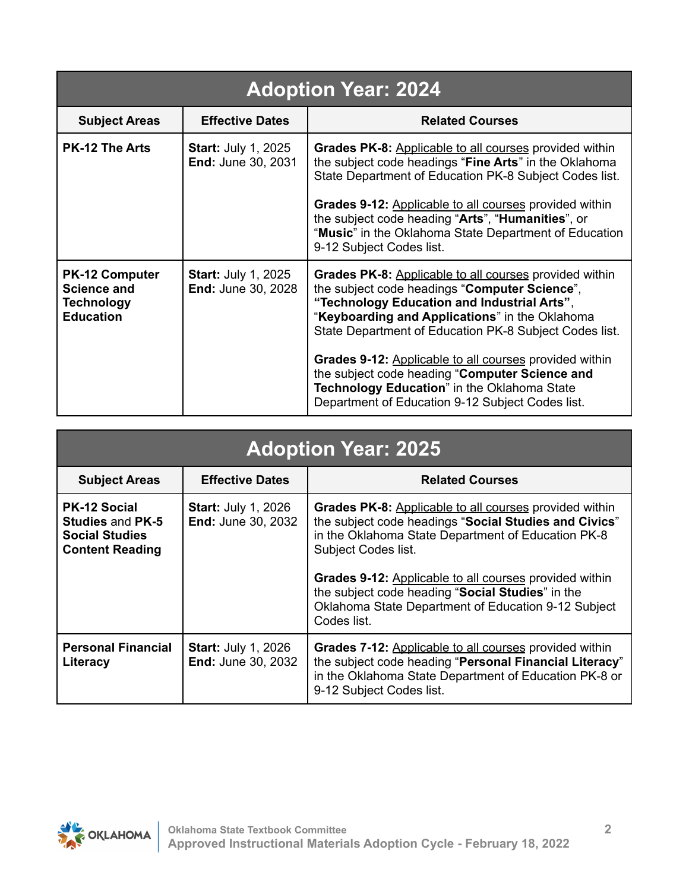| <b>Adoption Year: 2024</b>                                                           |                                                         |                                                                                                                                                                                                                                                                                                                                                                                                                                                                                   |  |
|--------------------------------------------------------------------------------------|---------------------------------------------------------|-----------------------------------------------------------------------------------------------------------------------------------------------------------------------------------------------------------------------------------------------------------------------------------------------------------------------------------------------------------------------------------------------------------------------------------------------------------------------------------|--|
| <b>Subject Areas</b>                                                                 | <b>Effective Dates</b>                                  | <b>Related Courses</b>                                                                                                                                                                                                                                                                                                                                                                                                                                                            |  |
| <b>PK-12 The Arts</b>                                                                | <b>Start: July 1, 2025</b><br><b>End: June 30, 2031</b> | <b>Grades PK-8:</b> Applicable to all courses provided within<br>the subject code headings "Fine Arts" in the Oklahoma<br>State Department of Education PK-8 Subject Codes list.<br><b>Grades 9-12:</b> Applicable to all courses provided within<br>the subject code heading "Arts", "Humanities", or<br>"Music" in the Oklahoma State Department of Education<br>9-12 Subject Codes list.                                                                                       |  |
| <b>PK-12 Computer</b><br><b>Science and</b><br><b>Technology</b><br><b>Education</b> | <b>Start: July 1, 2025</b><br><b>End: June 30, 2028</b> | Grades PK-8: Applicable to all courses provided within<br>the subject code headings "Computer Science",<br>"Technology Education and Industrial Arts",<br>"Keyboarding and Applications" in the Oklahoma<br>State Department of Education PK-8 Subject Codes list.<br>Grades 9-12: Applicable to all courses provided within<br>the subject code heading "Computer Science and<br>Technology Education" in the Oklahoma State<br>Department of Education 9-12 Subject Codes list. |  |

## **Adoption Year: 2025**

| <b>Subject Areas</b>                                                                              | <b>Effective Dates</b>                                  | <b>Related Courses</b>                                                                                                                                                                                                                                                                                                                                                                  |  |
|---------------------------------------------------------------------------------------------------|---------------------------------------------------------|-----------------------------------------------------------------------------------------------------------------------------------------------------------------------------------------------------------------------------------------------------------------------------------------------------------------------------------------------------------------------------------------|--|
| <b>PK-12 Social</b><br><b>Studies and PK-5</b><br><b>Social Studies</b><br><b>Content Reading</b> | <b>Start: July 1, 2026</b><br><b>End: June 30, 2032</b> | Grades PK-8: Applicable to all courses provided within<br>the subject code headings "Social Studies and Civics"<br>in the Oklahoma State Department of Education PK-8<br><b>Subject Codes list.</b><br>Grades 9-12: Applicable to all courses provided within<br>the subject code heading "Social Studies" in the<br>Oklahoma State Department of Education 9-12 Subject<br>Codes list. |  |
|                                                                                                   |                                                         |                                                                                                                                                                                                                                                                                                                                                                                         |  |
| <b>Personal Financial</b><br>Literacy                                                             | <b>Start: July 1, 2026</b><br><b>End: June 30, 2032</b> | <b>Grades 7-12: Applicable to all courses provided within</b><br>the subject code heading "Personal Financial Literacy"<br>in the Oklahoma State Department of Education PK-8 or<br>9-12 Subject Codes list.                                                                                                                                                                            |  |

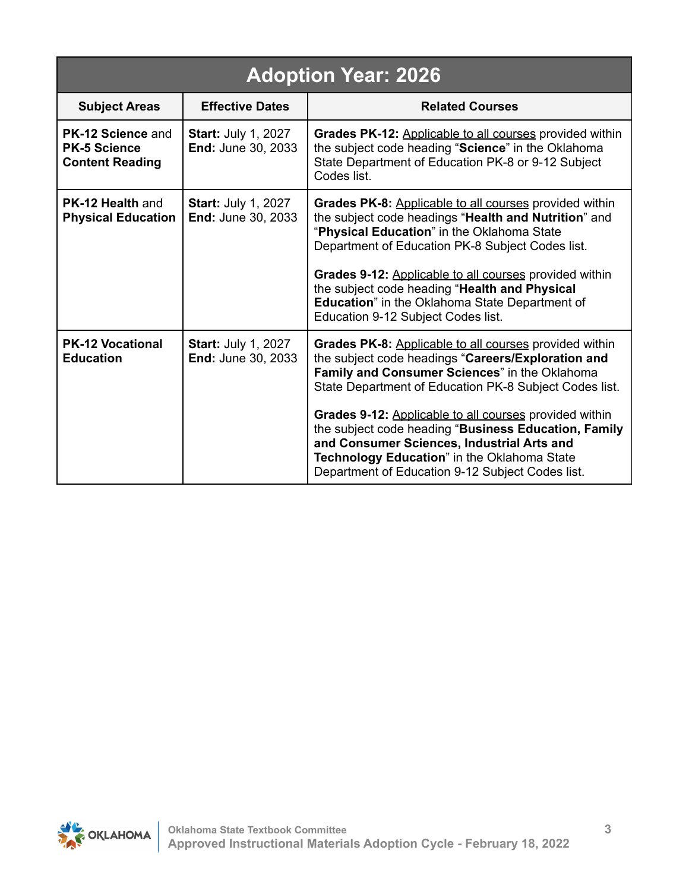| <b>Adoption Year: 2026</b>                                                |                                                         |                                                                                                                                                                                                                                                                                                                                                                                                                                                                                            |  |
|---------------------------------------------------------------------------|---------------------------------------------------------|--------------------------------------------------------------------------------------------------------------------------------------------------------------------------------------------------------------------------------------------------------------------------------------------------------------------------------------------------------------------------------------------------------------------------------------------------------------------------------------------|--|
| <b>Subject Areas</b>                                                      | <b>Effective Dates</b>                                  | <b>Related Courses</b>                                                                                                                                                                                                                                                                                                                                                                                                                                                                     |  |
| <b>PK-12 Science and</b><br><b>PK-5 Science</b><br><b>Content Reading</b> | <b>Start: July 1, 2027</b><br><b>End: June 30, 2033</b> | Grades PK-12: Applicable to all courses provided within<br>the subject code heading "Science" in the Oklahoma<br>State Department of Education PK-8 or 9-12 Subject<br>Codes list.                                                                                                                                                                                                                                                                                                         |  |
| <b>PK-12 Health and</b><br><b>Physical Education</b>                      | <b>Start: July 1, 2027</b><br><b>End: June 30, 2033</b> | Grades PK-8: Applicable to all courses provided within<br>the subject code headings "Health and Nutrition" and<br>"Physical Education" in the Oklahoma State<br>Department of Education PK-8 Subject Codes list.<br>Grades 9-12: Applicable to all courses provided within<br>the subject code heading "Health and Physical<br>Education" in the Oklahoma State Department of<br>Education 9-12 Subject Codes list.                                                                        |  |
| <b>PK-12 Vocational</b><br><b>Education</b>                               | <b>Start: July 1, 2027</b><br><b>End: June 30, 2033</b> | Grades PK-8: Applicable to all courses provided within<br>the subject code headings "Careers/Exploration and<br>Family and Consumer Sciences" in the Oklahoma<br>State Department of Education PK-8 Subject Codes list.<br>Grades 9-12: Applicable to all courses provided within<br>the subject code heading "Business Education, Family<br>and Consumer Sciences, Industrial Arts and<br>Technology Education" in the Oklahoma State<br>Department of Education 9-12 Subject Codes list. |  |

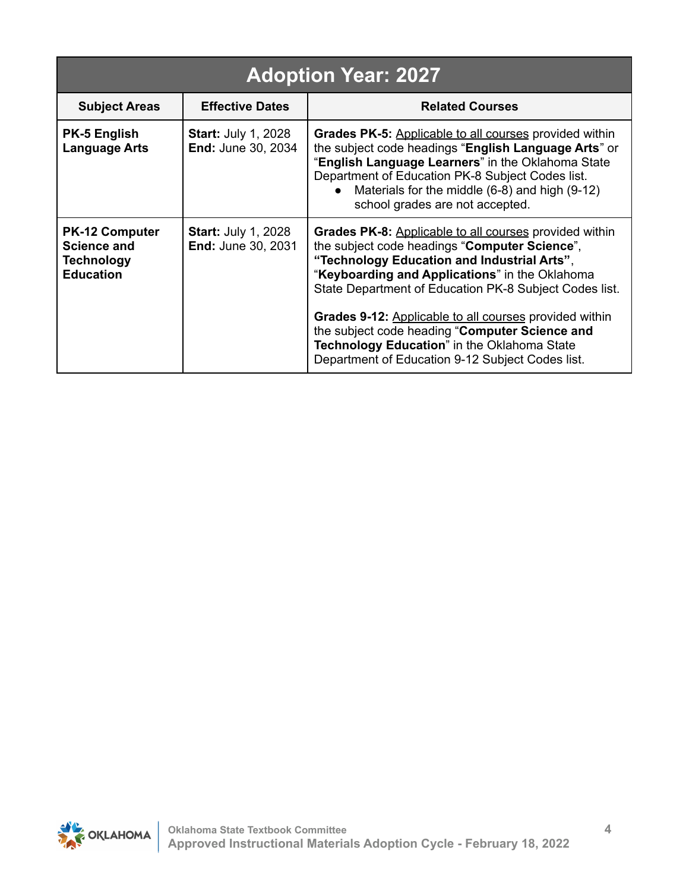| <b>Adoption Year: 2027</b>                                                           |                                                         |                                                                                                                                                                                                                                                                                                                                                                                                                                                                                   |  |
|--------------------------------------------------------------------------------------|---------------------------------------------------------|-----------------------------------------------------------------------------------------------------------------------------------------------------------------------------------------------------------------------------------------------------------------------------------------------------------------------------------------------------------------------------------------------------------------------------------------------------------------------------------|--|
| <b>Subject Areas</b>                                                                 | <b>Effective Dates</b>                                  | <b>Related Courses</b>                                                                                                                                                                                                                                                                                                                                                                                                                                                            |  |
| <b>PK-5 English</b><br><b>Language Arts</b>                                          | <b>Start: July 1, 2028</b><br><b>End: June 30, 2034</b> | <b>Grades PK-5: Applicable to all courses provided within</b><br>the subject code headings "English Language Arts" or<br>"English Language Learners" in the Oklahoma State<br>Department of Education PK-8 Subject Codes list.<br>Materials for the middle (6-8) and high (9-12)<br>school grades are not accepted.                                                                                                                                                               |  |
| <b>PK-12 Computer</b><br><b>Science and</b><br><b>Technology</b><br><b>Education</b> | <b>Start: July 1, 2028</b><br>End: June 30, 2031        | Grades PK-8: Applicable to all courses provided within<br>the subject code headings "Computer Science",<br>"Technology Education and Industrial Arts",<br>"Keyboarding and Applications" in the Oklahoma<br>State Department of Education PK-8 Subject Codes list.<br>Grades 9-12: Applicable to all courses provided within<br>the subject code heading "Computer Science and<br>Technology Education" in the Oklahoma State<br>Department of Education 9-12 Subject Codes list. |  |

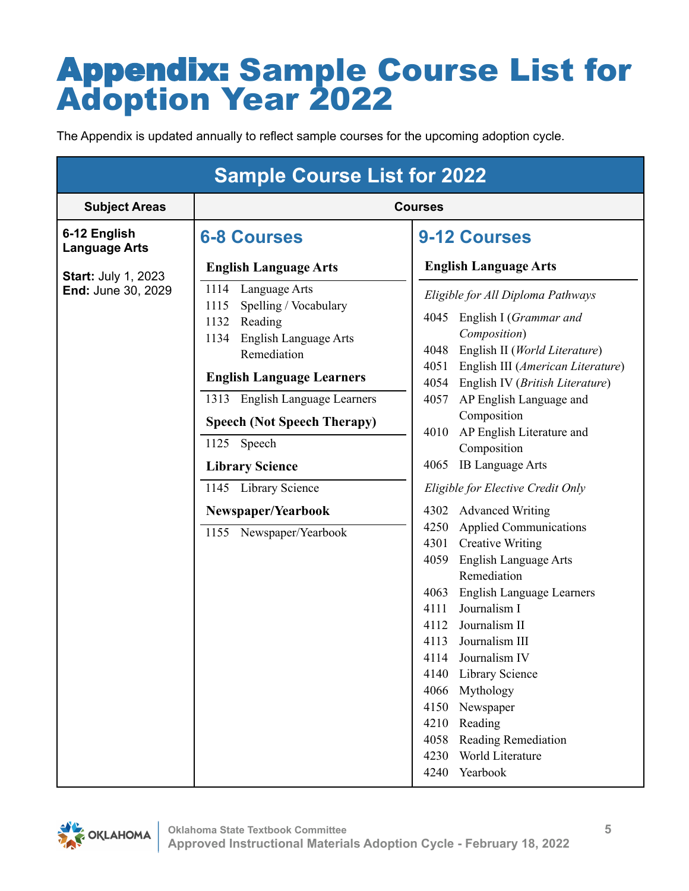## Appendix: Sample Course List for Adoption Year 2022

The Appendix is updated annually to reflect sample courses for the upcoming adoption cycle.

| <b>Sample Course List for 2022</b>   |                                                                                                                                                                                                                                                                                                                                                         |                                                                                                                                                                                                                                                                                                                                                                                                                                                                                                                                                                                                                                                                                                                                                                                                                                                                                           |  |
|--------------------------------------|---------------------------------------------------------------------------------------------------------------------------------------------------------------------------------------------------------------------------------------------------------------------------------------------------------------------------------------------------------|-------------------------------------------------------------------------------------------------------------------------------------------------------------------------------------------------------------------------------------------------------------------------------------------------------------------------------------------------------------------------------------------------------------------------------------------------------------------------------------------------------------------------------------------------------------------------------------------------------------------------------------------------------------------------------------------------------------------------------------------------------------------------------------------------------------------------------------------------------------------------------------------|--|
| <b>Subject Areas</b>                 | <b>Courses</b>                                                                                                                                                                                                                                                                                                                                          |                                                                                                                                                                                                                                                                                                                                                                                                                                                                                                                                                                                                                                                                                                                                                                                                                                                                                           |  |
| 6-12 English<br><b>Language Arts</b> | <b>6-8 Courses</b>                                                                                                                                                                                                                                                                                                                                      | <b>9-12 Courses</b>                                                                                                                                                                                                                                                                                                                                                                                                                                                                                                                                                                                                                                                                                                                                                                                                                                                                       |  |
| <b>Start: July 1, 2023</b>           | <b>English Language Arts</b>                                                                                                                                                                                                                                                                                                                            | <b>English Language Arts</b>                                                                                                                                                                                                                                                                                                                                                                                                                                                                                                                                                                                                                                                                                                                                                                                                                                                              |  |
| End: June 30, 2029                   | 1114<br>Language Arts<br>Spelling / Vocabulary<br>1115<br>1132<br>Reading<br>1134 English Language Arts<br>Remediation<br><b>English Language Learners</b><br>1313 English Language Learners<br><b>Speech (Not Speech Therapy)</b><br>Speech<br>1125<br><b>Library Science</b><br>1145 Library Science<br>Newspaper/Yearbook<br>1155 Newspaper/Yearbook | Eligible for All Diploma Pathways<br>4045 English I (Grammar and<br>Composition)<br>English II (World Literature)<br>4048<br>4051<br>English III (American Literature)<br>4054<br>English IV (British Literature)<br>AP English Language and<br>4057<br>Composition<br>AP English Literature and<br>4010<br>Composition<br><b>IB Language Arts</b><br>4065<br>Eligible for Elective Credit Only<br><b>Advanced Writing</b><br>4302<br><b>Applied Communications</b><br>4250<br>4301<br><b>Creative Writing</b><br>English Language Arts<br>4059<br>Remediation<br><b>English Language Learners</b><br>4063<br>Journalism I<br>4111<br>Journalism II<br>4112<br>Journalism III<br>4113<br>4114 Journalism IV<br>Library Science<br>4140<br>4066<br>Mythology<br>4150<br>Newspaper<br>4210<br>Reading<br>4058<br><b>Reading Remediation</b><br>World Literature<br>4230<br>4240<br>Yearbook |  |

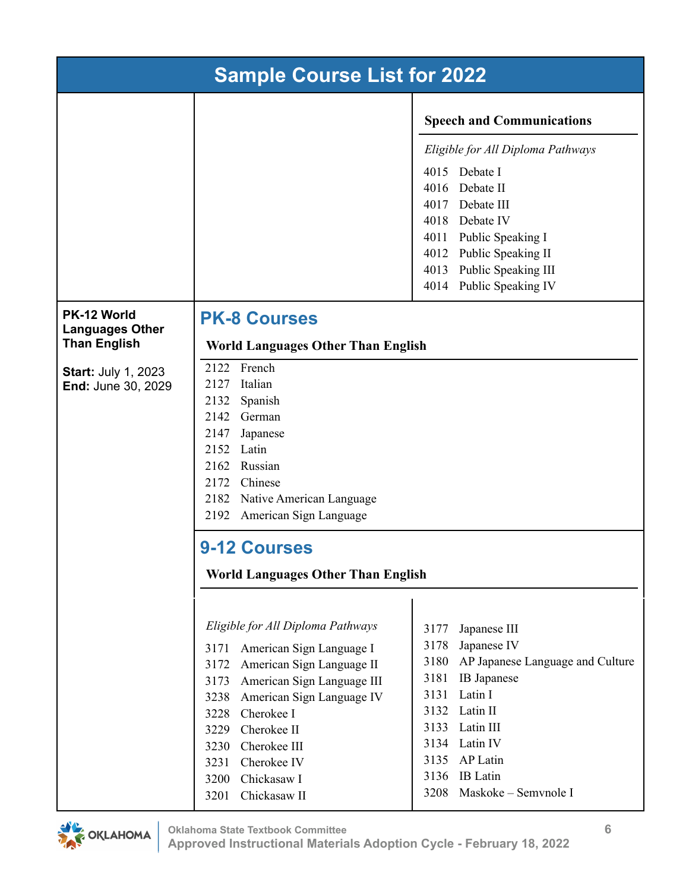| <b>Sample Course List for 2022</b>                           |                                                                                                                                                                                                                                                                                                                                  |                                                                                                                                                                                                                                                                               |  |
|--------------------------------------------------------------|----------------------------------------------------------------------------------------------------------------------------------------------------------------------------------------------------------------------------------------------------------------------------------------------------------------------------------|-------------------------------------------------------------------------------------------------------------------------------------------------------------------------------------------------------------------------------------------------------------------------------|--|
|                                                              |                                                                                                                                                                                                                                                                                                                                  | <b>Speech and Communications</b>                                                                                                                                                                                                                                              |  |
|                                                              |                                                                                                                                                                                                                                                                                                                                  | Eligible for All Diploma Pathways<br>Debate I<br>4015<br>4016<br>Debate II<br>4017 Debate III<br>4018 Debate IV<br>4011 Public Speaking I<br>4012 Public Speaking II<br>4013<br>Public Speaking III<br>Public Speaking IV<br>4014                                             |  |
| PK-12 World<br><b>Languages Other</b><br><b>Than English</b> | <b>PK-8 Courses</b><br><b>World Languages Other Than English</b>                                                                                                                                                                                                                                                                 |                                                                                                                                                                                                                                                                               |  |
| <b>Start: July 1, 2023</b><br>End: June 30, 2029             | 2122 French<br>2127 Italian<br>2132<br>Spanish<br>2142 German<br>2147 Japanese<br>2152 Latin<br>2162 Russian<br>2172 Chinese<br>2182 Native American Language<br>2192<br>American Sign Language<br><b>9-12 Courses</b><br><b>World Languages Other Than English</b>                                                              |                                                                                                                                                                                                                                                                               |  |
|                                                              | Eligible for All Diploma Pathways<br>American Sign Language I<br>3171<br>American Sign Language II<br>3172<br>American Sign Language III<br>3173<br>American Sign Language IV<br>3238<br>Cherokee I<br>3228<br>Cherokee II<br>3229<br>Cherokee III<br>3230<br>Cherokee IV<br>3231<br>Chickasaw I<br>3200<br>Chickasaw II<br>3201 | 3177<br>Japanese III<br>3178<br>Japanese IV<br>AP Japanese Language and Culture<br>3180<br>3181<br>IB Japanese<br>3131<br>Latin I<br>Latin II<br>3132<br>3133<br>Latin III<br>3134<br>Latin IV<br>3135<br>AP Latin<br>3136<br><b>IB</b> Latin<br>3208<br>Maskoke - Semvnole I |  |